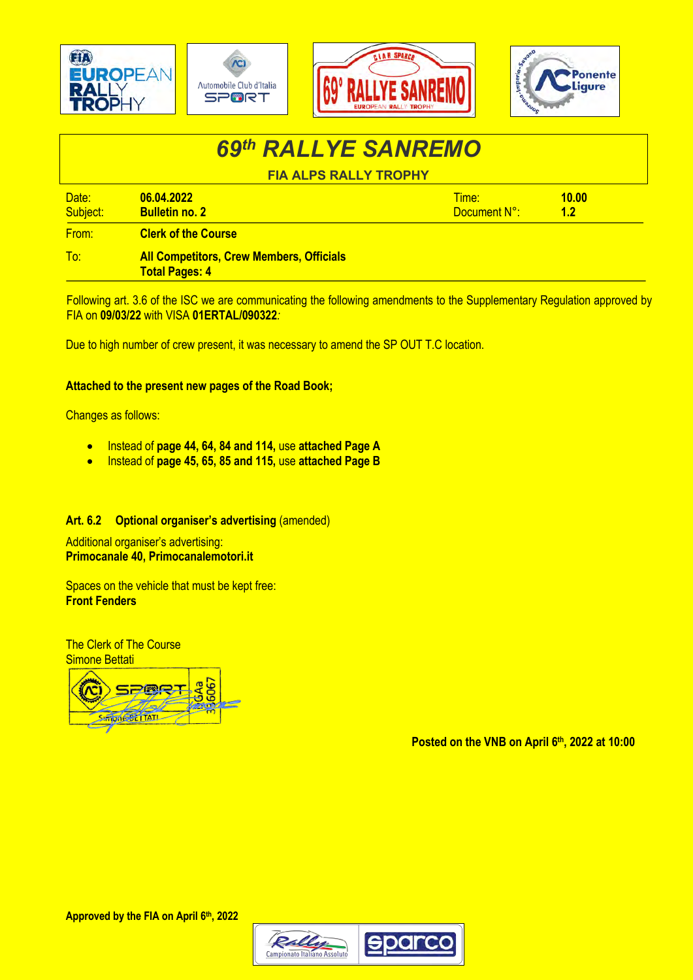

## *69th RALLYE SANREMO* **FIA ALPS RALLY TROPHY**

| Date:<br>Subject: | 06.04.2022<br><b>Bulletin no. 2</b>             | Time:<br>Document N°: | 10.00 |  |
|-------------------|-------------------------------------------------|-----------------------|-------|--|
| From:             | <b>Clerk of the Course</b>                      |                       |       |  |
| To:               | <b>All Competitors, Crew Members, Officials</b> |                       |       |  |

**Total Pages: 4**

Following art. 3.6 of the ISC we are communicating the following amendments to the Supplementary Regulation approved by FIA on **09/03/22** with VISA **01ERTAL/090322***:*

Due to high number of crew present, it was necessary to amend the SP OUT T.C location.

### **Attached to the present new pages of the Road Book;**

Changes as follows:

- Instead of **page 44, 64, 84 and 114,** use **attached Page A**
- Instead of **page 45, 65, 85 and 115,** use **attached Page B**

### **Art. 6.2 Optional organiser's advertising** (amended)

Additional organiser's advertising: **Primocanale 40, Primocanalemotori.it**

Spaces on the vehicle that must be kept free: **Front Fenders**

The Clerk of The Course Simone Bettati



**Posted on the VNB on April 6th, 2022 at 10:00**

**Approved by the FIA on April 6th, 2022**

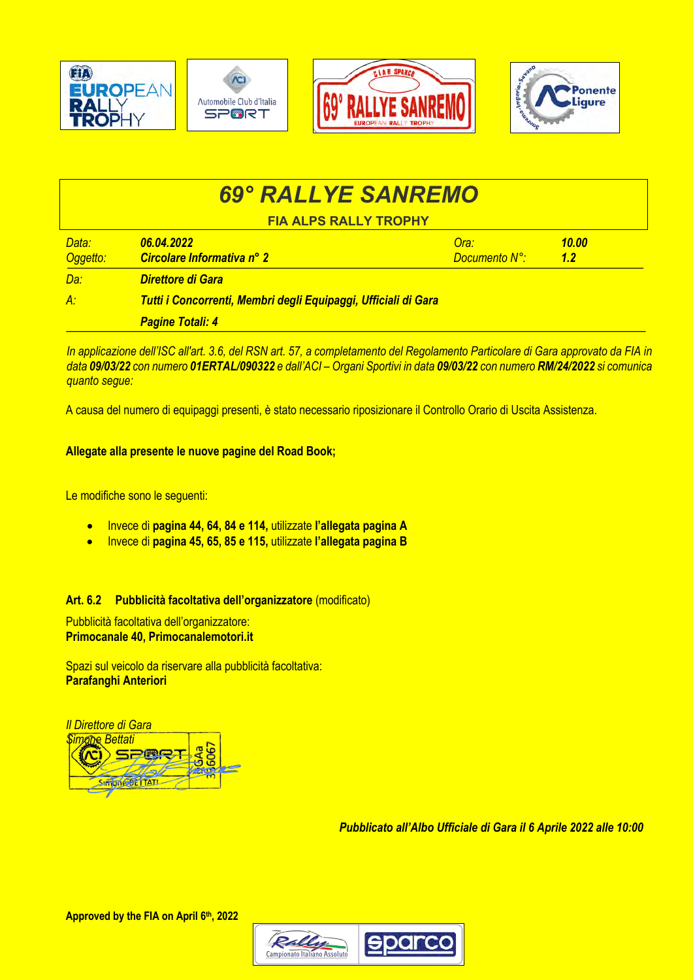

# *69° RALLYE SANREMO*

**FIA ALPS RALLY TROPHY**

| Data:<br>Oggetto: | 06.04.2022<br>Circolare Informativa nº 2                       | Ora:<br><b>Documento N°:</b> | 10.00<br>1.2 |  |  |
|-------------------|----------------------------------------------------------------|------------------------------|--------------|--|--|
| Da:               | Direttore di Gara                                              |                              |              |  |  |
| $A$ :             | Tutti i Concorrenti, Membri degli Equipaggi, Ufficiali di Gara |                              |              |  |  |
|                   | <b>Pagine Totali: 4</b>                                        |                              |              |  |  |

*In applicazione dell'ISC all'art. 3.6, del RSN art. 57, a completamento del Regolamento Particolare di Gara approvato da FIA in data 09/03/22 con numero 01ERTAL/090322 e dall'ACI – Organi Sportivi in data 09/03/22 con numero RM/24/2022 si comunica quanto segue:*

A causa del numero di equipaggi presenti, è stato necessario riposizionare il Controllo Orario di Uscita Assistenza.

### **Allegate alla presente le nuove pagine del Road Book;**

Le modifiche sono le seguenti:

- Invece di **pagina 44, 64, 84 e 114,** utilizzate **l'allegata pagina A**
- Invece di **pagina 45, 65, 85 e 115,** utilizzate **l'allegata pagina B**

### **Art. 6.2 Pubblicità facoltativa dell'organizzatore** (modificato)

Pubblicità facoltativa dell'organizzatore: **Primocanale 40, Primocanalemotori.it**

Spazi sul veicolo da riservare alla pubblicità facoltativa: **Parafanghi Anteriori**



*Pubblicato all'Albo Ufficiale di Gara il 6 Aprile 2022 alle 10:00*

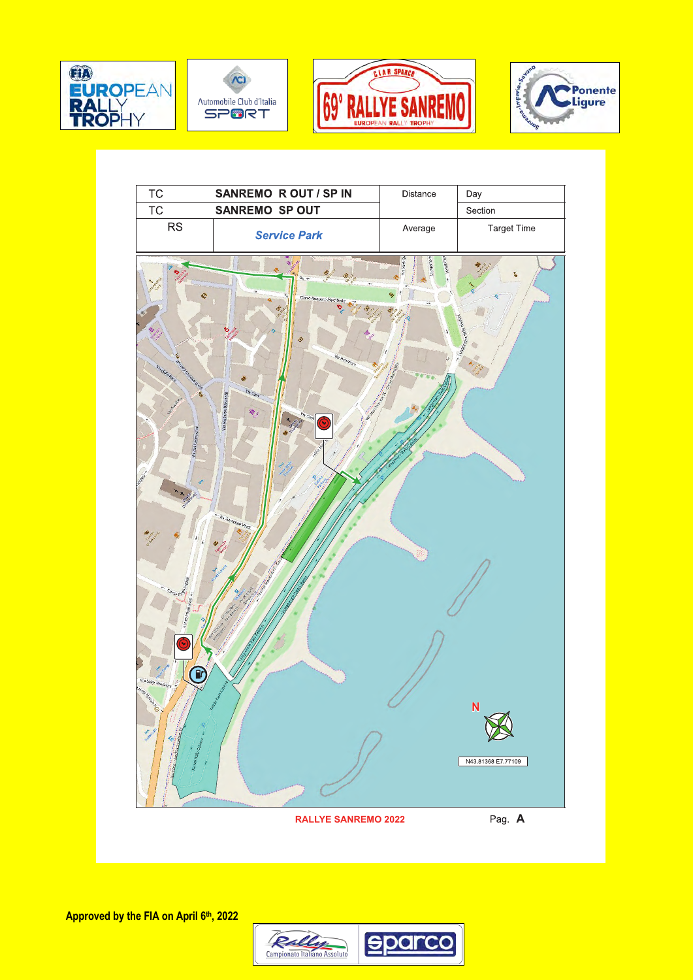









**Approved by the FIA on April 6th, 2022**